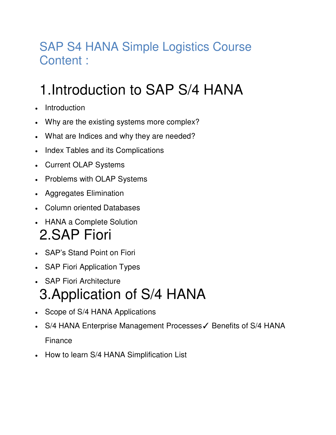## SAP S4 HANA Simple Logistics Course Content :

## 1.Introduction to SAP S/4 HANA

- Introduction
- Why are the existing systems more complex?
- What are Indices and why they are needed?
- Index Tables and its Complications
- Current OLAP Systems
- Problems with OLAP Systems
- Aggregates Elimination
- Column oriented Databases
- HANA a Complete Solution 2.SAP Fiori
- SAP's Stand Point on Fiori
- SAP Fiori Application Types
- SAP Fiori Architecture 3.Application of S/4 HANA
- Scope of S/4 HANA Applications
- S/4 HANA Enterprise Management Processes√ Benefits of S/4 HANA Finance
- How to learn S/4 HANA Simplification List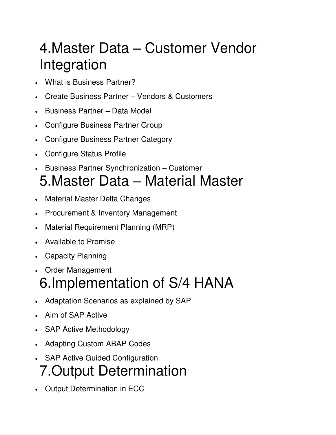## 4.Master Data – Customer Vendor Integration

- What is Business Partner?
- Create Business Partner Vendors & Customers
- Business Partner Data Model
- Configure Business Partner Group
- Configure Business Partner Category
- Configure Status Profile
- **•** Business Partner Synchronization Customer 5.Master Data – Material Master
- Material Master Delta Changes
- Procurement & Inventory Management
- Material Requirement Planning (MRP)
- Available to Promise
- Capacity Planning
- Order Management

## 6.Implementation of S/4 HANA

- Adaptation Scenarios as explained by SAP
- Aim of SAP Active
- SAP Active Methodology
- Adapting Custom ABAP Codes
- SAP Active Guided Configuration 7.Output Determination
- Output Determination in ECC